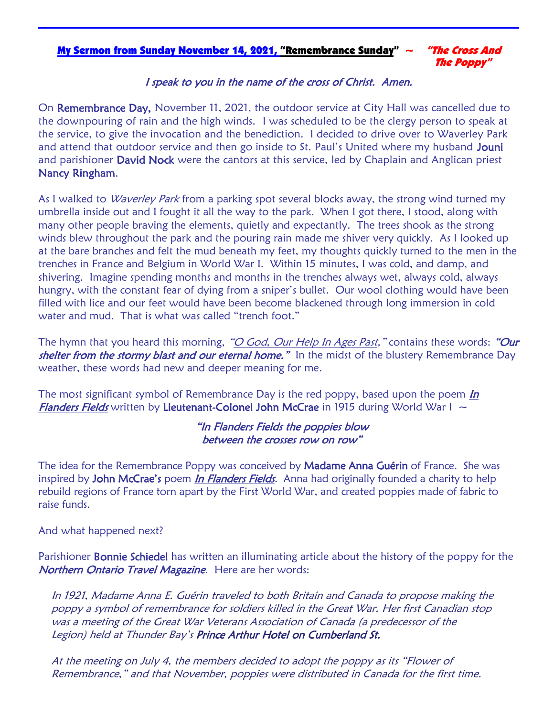### My Sermon from Sunday November 14, 2021, "Remembrance Sunday"  $\sim$  "The Cross And

The Poppy"

### I speak to you in the name of the cross of Christ. Amen.

On Remembrance Day, November 11, 2021, the outdoor service at City Hall was cancelled due to the downpouring of rain and the high winds. I was scheduled to be the clergy person to speak at the service, to give the invocation and the benediction. I decided to drive over to Waverley Park and attend that outdoor service and then go inside to St. Paul's United where my husband Jouni and parishioner David Nock were the cantors at this service, led by Chaplain and Anglican priest Nancy Ringham.

As I walked to *Waverley Park* from a parking spot several blocks away, the strong wind turned my umbrella inside out and I fought it all the way to the park. When I got there, I stood, along with many other people braving the elements, quietly and expectantly. The trees shook as the strong winds blew throughout the park and the pouring rain made me shiver very quickly. As I looked up at the bare branches and felt the mud beneath my feet, my thoughts quickly turned to the men in the trenches in France and Belgium in World War I. Within 15 minutes, I was cold, and damp, and shivering. Imagine spending months and months in the trenches always wet, always cold, always hungry, with the constant fear of dying from a sniper's bullet. Our wool clothing would have been filled with lice and our feet would have been become blackened through long immersion in cold water and mud. That is what was called "trench foot."

The hymn that you heard this morning, "O God, Our Help In Ages Past," contains these words: "Our shelter from the stormy blast and our eternal home." In the midst of the blustery Remembrance Day weather, these words had new and deeper meaning for me.

The most significant symbol of Remembrance Day is the red poppy, based upon the poem  $\ln$ **Flanders Fields** written by Lieutenant-Colonel John McCrae in 1915 during World War I  $\sim$ 

### "In Flanders Fields the poppies blow between the crosses row on row"

The idea for the Remembrance Poppy was conceived by **Madame Anna Guérin** of France. She was inspired by John McCrae's poem *In Flanders Fields*. Anna had originally founded a charity to help rebuild regions of France torn apart by the First World War, and created poppies made of fabric to raise funds.

#### And what happened next?

Parishioner **Bonnie Schiedel** has written an illuminating article about the history of the poppy for the Northern Ontario Travel Magazine. Here are her words:

In 1921, Madame Anna E. Guérin traveled to both Britain and Canada to propose making the poppy a symbol of remembrance for soldiers killed in the Great War. Her first Canadian stop was a meeting of the Great War Veterans Association of Canada (a predecessor of the Legion) held at Thunder Bay's Prince Arthur Hotel on Cumberland St.

At the meeting on July 4, the members decided to adopt the poppy as its "Flower of Remembrance," and that November, poppies were distributed in Canada for the first time.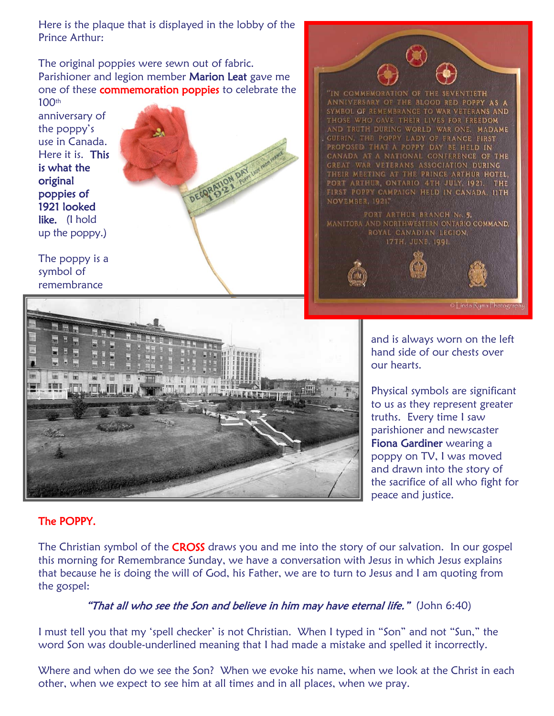Here is the plaque that is displayed in the lobby of the Prince Arthur:

The original poppies were sewn out of fabric. Parishioner and legion member Marion Leat gave me one of these **commemoration poppies** to celebrate the 100th

anniversary of the poppy's use in Canada. Here it is. This is what the original poppies of 1921 looked like. (I hold up the poppy.)

The poppy is a symbol of remembrance

> œ 冒  $\overline{m}$

 $\blacksquare$ 

■ 日 田



"IN COMMEMORATION OF THE SEVENTIETH ANNIVERSARY OF THE BLOOD RED POPPY AS A SYMBOL OF REMEMBRANCE TO WAR VETERANS AND THOSE WHO GAVE THEIR LIVES FOR FREEDOM AND TRUTH DURING WORLD WAR ONE. MADAME GUERIN, THE POPPY LADY OF FRANCE FIRST PROPOSED THAT A POPPY DAY BE HELD IN CANADA AT A NATIONAL CONFERENCE OF THE GREAT WAR VETERANS ASSOCIATION DURING THEIR MEETING AT THE PRINCE ARTHUR HOTEL, PORT ARTHUR, ONTARIO 4TH JULY, 1921. THE FIRST POPPY CAMPAIGN HELD IN CANADA, 11TH **NOVEMBER, 1921.** PORT ARTHUR BRANCH No. 5. MANITOBA AND NORTHWESTERN ONTARIO COMMAND, ROYAL CANADIAN LEGION,



17TH, JUNE, 1991.

and is always worn on the left hand side of our chests over our hearts.

Physical symbols are significant to us as they represent greater truths. Every time I saw parishioner and newscaster Fiona Gardiner wearing a poppy on TV, I was moved and drawn into the story of the sacrifice of all who fight for peace and justice.

# The POPPY.

The Christian symbol of the **CROSS** draws you and me into the story of our salvation. In our gospel this morning for Remembrance Sunday, we have a conversation with Jesus in which Jesus explains that because he is doing the will of God, his Father, we are to turn to Jesus and I am quoting from the gospel:

## "That all who see the Son and believe in him may have eternal life." (John 6:40)

I must tell you that my 'spell checker' is not Christian. When I typed in "Son" and not "Sun," the word Son was double-underlined meaning that I had made a mistake and spelled it incorrectly.

Where and when do we see the Son? When we evoke his name, when we look at the Christ in each other, when we expect to see him at all times and in all places, when we pray.